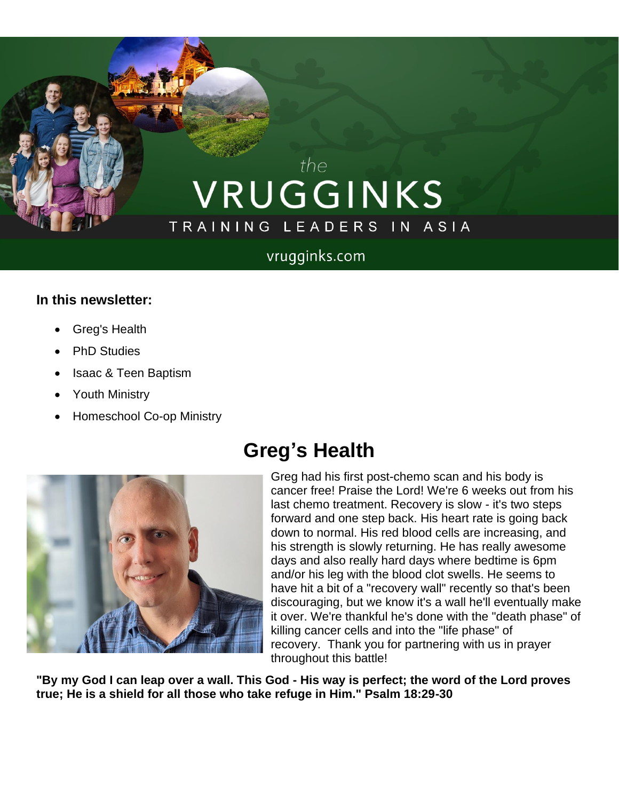# the VRUGGINKS TRAINING LEADERS IN ASIA

#### vrugginks.com

#### **In this newsletter:**

- Greg's Health
- **PhD Studies**
- Isaac & Teen Baptism
- Youth Ministry
- Homeschool Co-op Ministry

## **Greg's Health**



Greg had his first post-chemo scan and his body is cancer free! Praise the Lord! We're 6 weeks out from his last chemo treatment. Recovery is slow - it's two steps forward and one step back. His heart rate is going back down to normal. His red blood cells are increasing, and his strength is slowly returning. He has really awesome days and also really hard days where bedtime is 6pm and/or his leg with the blood clot swells. He seems to have hit a bit of a "recovery wall" recently so that's been discouraging, but we know it's a wall he'll eventually make it over. We're thankful he's done with the "death phase" of killing cancer cells and into the "life phase" of recovery. Thank you for partnering with us in prayer throughout this battle!

**"By my God I can leap over a wall. This God - His way is perfect; the word of the Lord proves true; He is a shield for all those who take refuge in Him." Psalm 18:29-30**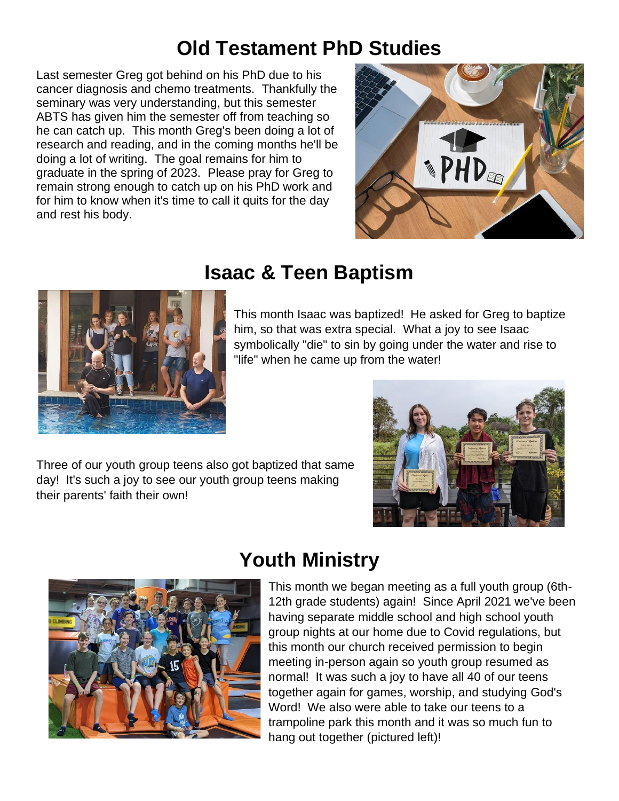### **Old Testament PhD Studies**

Last semester Greg got behind on his PhD due to his cancer diagnosis and chemo treatments. Thankfully the seminary was very understanding, but this semester ABTS has given him the semester off from teaching so he can catch up. This month Greg's been doing a lot of research and reading, and in the coming months he'll be doing a lot of writing. The goal remains for him to graduate in the spring of 2023. Please pray for Greg to remain strong enough to catch up on his PhD work and for him to know when it's time to call it quits for the day and rest his body.





### **Isaac & Teen Baptism**

This month Isaac was baptized! He asked for Greg to baptize him, so that was extra special. What a joy to see Isaac symbolically "die" to sin by going under the water and rise to "life" when he came up from the water!

Three of our youth group teens also got baptized that same day! It's such a joy to see our youth group teens making their parents' faith their own!





# **Youth Ministry**

This month we began meeting as a full youth group (6th-12th grade students) again! Since April 2021 we've been having separate middle school and high school youth group nights at our home due to Covid regulations, but this month our church received permission to begin meeting in-person again so youth group resumed as normal! It was such a joy to have all 40 of our teens together again for games, worship, and studying God's Word! We also were able to take our teens to a trampoline park this month and it was so much fun to hang out together (pictured left)!